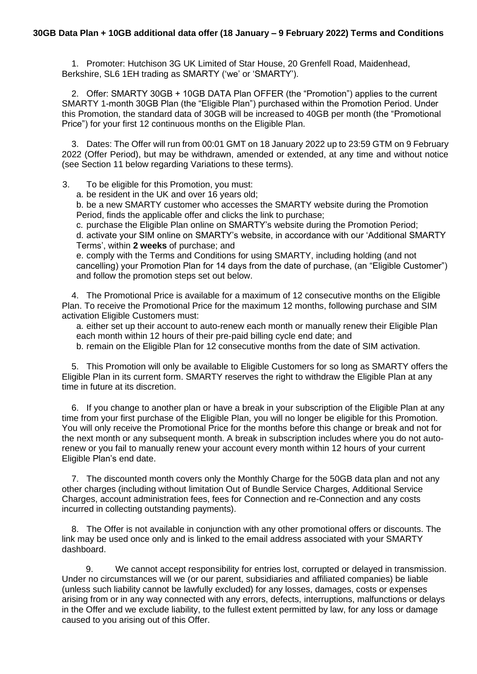## **30GB Data Plan + 10GB additional data offer (18 January – 9 February 2022) Terms and Conditions**

1. Promoter: Hutchison 3G UK Limited of Star House, 20 Grenfell Road, Maidenhead, Berkshire, SL6 1EH trading as SMARTY ('we' or 'SMARTY').

2. Offer: SMARTY 30GB + 10GB DATA Plan OFFER (the "Promotion") applies to the current SMARTY 1-month 30GB Plan (the "Eligible Plan") purchased within the Promotion Period. Under this Promotion, the standard data of 30GB will be increased to 40GB per month (the "Promotional Price") for your first 12 continuous months on the Eligible Plan.

3. Dates: The Offer will run from 00:01 GMT on 18 January 2022 up to 23:59 GTM on 9 February 2022 (Offer Period), but may be withdrawn, amended or extended, at any time and without notice (see Section 11 below regarding Variations to these terms).

3. To be eligible for this Promotion, you must:

a. be resident in the UK and over 16 years old;

b. be a new SMARTY customer who accesses the SMARTY website during the Promotion Period, finds the applicable offer and clicks the link to purchase;

c. purchase the Eligible Plan online on SMARTY's website during the Promotion Period;

d. activate your SIM online on SMARTY's website, in accordance with our 'Additional SMARTY Terms', within **2 weeks** of purchase; and

e. comply with the Terms and Conditions for using SMARTY, including holding (and not cancelling) your Promotion Plan for 14 days from the date of purchase, (an "Eligible Customer") and follow the promotion steps set out below.

4. The Promotional Price is available for a maximum of 12 consecutive months on the Eligible Plan. To receive the Promotional Price for the maximum 12 months, following purchase and SIM activation Eligible Customers must:

a. either set up their account to auto-renew each month or manually renew their Eligible Plan each month within 12 hours of their pre-paid billing cycle end date; and

b. remain on the Eligible Plan for 12 consecutive months from the date of SIM activation.

5. This Promotion will only be available to Eligible Customers for so long as SMARTY offers the Eligible Plan in its current form. SMARTY reserves the right to withdraw the Eligible Plan at any time in future at its discretion.

6. If you change to another plan or have a break in your subscription of the Eligible Plan at any time from your first purchase of the Eligible Plan, you will no longer be eligible for this Promotion. You will only receive the Promotional Price for the months before this change or break and not for the next month or any subsequent month. A break in subscription includes where you do not autorenew or you fail to manually renew your account every month within 12 hours of your current Eligible Plan's end date.

7. The discounted month covers only the Monthly Charge for the 50GB data plan and not any other charges (including without limitation Out of Bundle Service Charges, Additional Service Charges, account administration fees, fees for Connection and re-Connection and any costs incurred in collecting outstanding payments).

8. The Offer is not available in conjunction with any other promotional offers or discounts. The link may be used once only and is linked to the email address associated with your SMARTY dashboard.

9. We cannot accept responsibility for entries lost, corrupted or delayed in transmission. Under no circumstances will we (or our parent, subsidiaries and affiliated companies) be liable (unless such liability cannot be lawfully excluded) for any losses, damages, costs or expenses arising from or in any way connected with any errors, defects, interruptions, malfunctions or delays in the Offer and we exclude liability, to the fullest extent permitted by law, for any loss or damage caused to you arising out of this Offer.